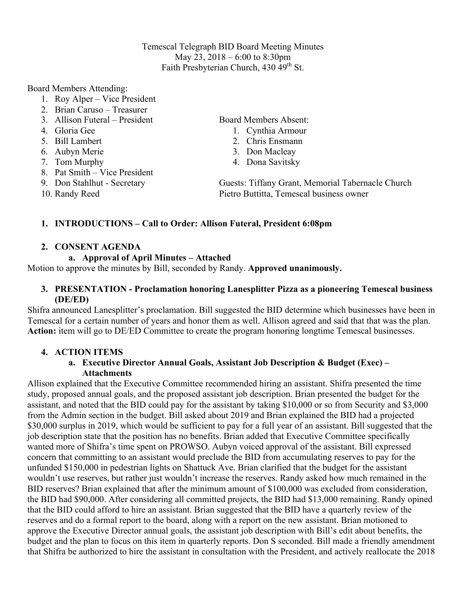Temescal Telegraph BID Board Meeting Minutes May 23, 2018 – 6:00 to 8:30pm Faith Presbyterian Church, 430 49<sup>th</sup> St.

#### Board Members Attending:

- 1. Roy Alper Vice President
- 2. Brian Caruso Treasurer
- 3. Allison Futeral President
- 4. Gloria Gee
- 5. Bill Lambert
- 6. Aubyn Merie
- 7. Tom Murphy
- 8. Pat Smith Vice President
- 9. Don Stahlhut Secretary
- 10. Randy Reed

Board Members Absent:

- 1. Cynthia Armour
- 2. Chris Ensmann
- 3. Don Macleay
- 4. Dona Savitsky

Guests: Tiffany Grant, Memorial Tabernacle Church Pietro Buttitta, Temescal business owner

## **1. INTRODUCTIONS – Call to Order: Allison Futeral, President 6:08pm**

## **2. CONSENT AGENDA**

**a. Approval of April Minutes – Attached**

Motion to approve the minutes by Bill, seconded by Randy. **Approved unanimously.**

## **3. PRESENTATION - Proclamation honoring Lanesplitter Pizza as a pioneering Temescal business (DE/ED)**

Shifra announced Lanesplitter's proclamation. Bill suggested the BID determine which businesses have been in Temescal for a certain number of years and honor them as well. Allison agreed and said that that was the plan. **Action:** item will go to DE/ED Committee to create the program honoring longtime Temescal businesses.

## **4. ACTION ITEMS**

## **a. Executive Director Annual Goals, Assistant Job Description & Budget (Exec) – Attachments**

Allison explained that the Executive Committee recommended hiring an assistant. Shifra presented the time study, proposed annual goals, and the proposed assistant job description. Brian presented the budget for the assistant, and noted that the BID could pay for the assistant by taking \$10,000 or so from Security and \$3,000 from the Admin section in the budget. Bill asked about 2019 and Brian explained the BID had a projected \$30,000 surplus in 2019, which would be sufficient to pay for a full year of an assistant. Bill suggested that the job description state that the position has no benefits. Brian added that Executive Committee specifically wanted more of Shifra's time spent on PROWSO. Aubyn voiced approval of the assistant. Bill expressed concern that committing to an assistant would preclude the BID from accumulating reserves to pay for the unfunded \$150,000 in pedestrian lights on Shattuck Ave. Brian clarified that the budget for the assistant wouldn't use reserves, but rather just wouldn't increase the reserves. Randy asked how much remained in the BID reserves? Brian explained that after the minimum amount of \$100,000 was excluded from consideration, the BID had \$90,000. After considering all committed projects, the BID had \$13,000 remaining. Randy opined that the BID could afford to hire an assistant. Brian suggested that the BID have a quarterly review of the reserves and do a formal report to the board, along with a report on the new assistant. Brian motioned to approve the Executive Director annual goals, the assistant job description with Bill's edit about benefits, the budget and the plan to focus on this item in quarterly reports. Don S seconded. Bill made a friendly amendment that Shifra be authorized to hire the assistant in consultation with the President, and actively reallocate the 2018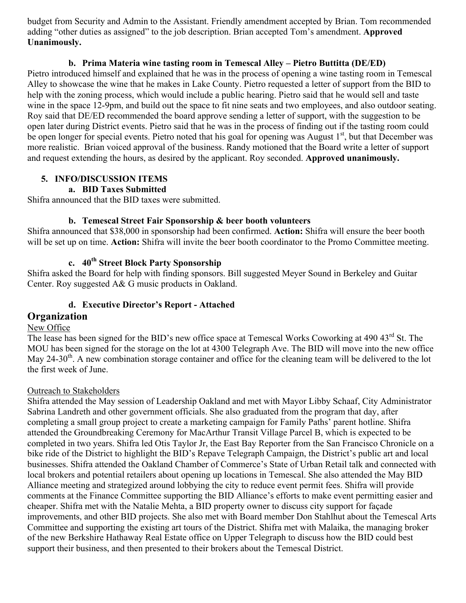budget from Security and Admin to the Assistant. Friendly amendment accepted by Brian. Tom recommended adding "other duties as assigned" to the job description. Brian accepted Tom's amendment. **Approved Unanimously.** 

#### **b. Prima Materia wine tasting room in Temescal Alley – Pietro Buttitta (DE/ED)**

Pietro introduced himself and explained that he was in the process of opening a wine tasting room in Temescal Alley to showcase the wine that he makes in Lake County. Pietro requested a letter of support from the BID to help with the zoning process, which would include a public hearing. Pietro said that he would sell and taste wine in the space 12-9pm, and build out the space to fit nine seats and two employees, and also outdoor seating. Roy said that DE/ED recommended the board approve sending a letter of support, with the suggestion to be open later during District events. Pietro said that he was in the process of finding out if the tasting room could be open longer for special events. Pietro noted that his goal for opening was August  $1<sup>st</sup>$ , but that December was more realistic. Brian voiced approval of the business. Randy motioned that the Board write a letter of support and request extending the hours, as desired by the applicant. Roy seconded. **Approved unanimously.**

## **5. INFO/DISCUSSION ITEMS**

## **a. BID Taxes Submitted**

Shifra announced that the BID taxes were submitted.

#### **b. Temescal Street Fair Sponsorship & beer booth volunteers**

Shifra announced that \$38,000 in sponsorship had been confirmed. **Action:** Shifra will ensure the beer booth will be set up on time. **Action:** Shifra will invite the beer booth coordinator to the Promo Committee meeting.

# **c. 40th Street Block Party Sponsorship**

Shifra asked the Board for help with finding sponsors. Bill suggested Meyer Sound in Berkeley and Guitar Center. Roy suggested A& G music products in Oakland.

#### **d. Executive Director's Report - Attached**

#### **Organization**

## New Office

The lease has been signed for the BID's new office space at Temescal Works Coworking at 490 43<sup>rd</sup> St. The MOU has been signed for the storage on the lot at 4300 Telegraph Ave. The BID will move into the new office May 24-30<sup>th</sup>. A new combination storage container and office for the cleaning team will be delivered to the lot the first week of June.

#### Outreach to Stakeholders

Shifra attended the May session of Leadership Oakland and met with Mayor Libby Schaaf, City Administrator Sabrina Landreth and other government officials. She also graduated from the program that day, after completing a small group project to create a marketing campaign for Family Paths' parent hotline. Shifra attended the Groundbreaking Ceremony for MacArthur Transit Village Parcel B, which is expected to be completed in two years. Shifra led Otis Taylor Jr, the East Bay Reporter from the San Francisco Chronicle on a bike ride of the District to highlight the BID's Repave Telegraph Campaign, the District's public art and local businesses. Shifra attended the Oakland Chamber of Commerce's State of Urban Retail talk and connected with local brokers and potential retailers about opening up locations in Temescal. She also attended the May BID Alliance meeting and strategized around lobbying the city to reduce event permit fees. Shifra will provide comments at the Finance Committee supporting the BID Alliance's efforts to make event permitting easier and cheaper. Shifra met with the Natalie Mehta, a BID property owner to discuss city support for façade improvements, and other BID projects. She also met with Board member Don Stahlhut about the Temescal Arts Committee and supporting the existing art tours of the District. Shifra met with Malaika, the managing broker of the new Berkshire Hathaway Real Estate office on Upper Telegraph to discuss how the BID could best support their business, and then presented to their brokers about the Temescal District.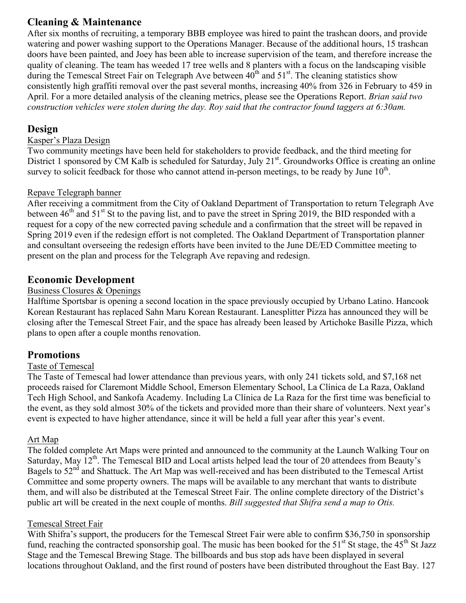# **Cleaning & Maintenance**

After six months of recruiting, a temporary BBB employee was hired to paint the trashcan doors, and provide watering and power washing support to the Operations Manager. Because of the additional hours, 15 trashcan doors have been painted, and Joey has been able to increase supervision of the team, and therefore increase the quality of cleaning. The team has weeded 17 tree wells and 8 planters with a focus on the landscaping visible during the Temescal Street Fair on Telegraph Ave between  $40^{\text{th}}$  and  $51^{\text{st}}$ . The cleaning statistics show consistently high graffiti removal over the past several months, increasing 40% from 326 in February to 459 in April. For a more detailed analysis of the cleaning metrics, please see the Operations Report. *Brian said two construction vehicles were stolen during the day. Roy said that the contractor found taggers at 6:30am.*

## **Design**

## Kasper's Plaza Design

Two community meetings have been held for stakeholders to provide feedback, and the third meeting for District 1 sponsored by CM Kalb is scheduled for Saturday, July 21<sup>st</sup>. Groundworks Office is creating an online survey to solicit feedback for those who cannot attend in-person meetings, to be ready by June  $10<sup>th</sup>$ .

## Repave Telegraph banner

After receiving a commitment from the City of Oakland Department of Transportation to return Telegraph Ave between  $46<sup>th</sup>$  and  $51<sup>st</sup>$  St to the paving list, and to pave the street in Spring 2019, the BID responded with a request for a copy of the new corrected paving schedule and a confirmation that the street will be repaved in Spring 2019 even if the redesign effort is not completed. The Oakland Department of Transportation planner and consultant overseeing the redesign efforts have been invited to the June DE/ED Committee meeting to present on the plan and process for the Telegraph Ave repaving and redesign.

## **Economic Development**

## Business Closures & Openings

Halftime Sportsbar is opening a second location in the space previously occupied by Urbano Latino. Hancook Korean Restaurant has replaced Sahn Maru Korean Restaurant. Lanesplitter Pizza has announced they will be closing after the Temescal Street Fair, and the space has already been leased by Artichoke Basille Pizza, which plans to open after a couple months renovation.

## **Promotions**

#### Taste of Temescal

The Taste of Temescal had lower attendance than previous years, with only 241 tickets sold, and \$7,168 net proceeds raised for Claremont Middle School, Emerson Elementary School, La Clínica de La Raza, Oakland Tech High School, and Sankofa Academy. Including La Clínica de La Raza for the first time was beneficial to the event, as they sold almost 30% of the tickets and provided more than their share of volunteers. Next year's event is expected to have higher attendance, since it will be held a full year after this year's event.

## Art Map

The folded complete Art Maps were printed and announced to the community at the Launch Walking Tour on Saturday, May 12<sup>th</sup>. The Temescal BID and Local artists helped lead the tour of 20 attendees from Beauty's Bagels to 52<sup>nd</sup> and Shattuck. The Art Map was well-received and has been distributed to the Temescal Artist Committee and some property owners. The maps will be available to any merchant that wants to distribute them, and will also be distributed at the Temescal Street Fair. The online complete directory of the District's public art will be created in the next couple of months. *Bill suggested that Shifra send a map to Otis.*

## Temescal Street Fair

With Shifra's support, the producers for the Temescal Street Fair were able to confirm \$36,750 in sponsorship fund, reaching the contracted sponsorship goal. The music has been booked for the 51<sup>st</sup> St stage, the 45<sup>th</sup> St Jazz Stage and the Temescal Brewing Stage. The billboards and bus stop ads have been displayed in several locations throughout Oakland, and the first round of posters have been distributed throughout the East Bay. 127